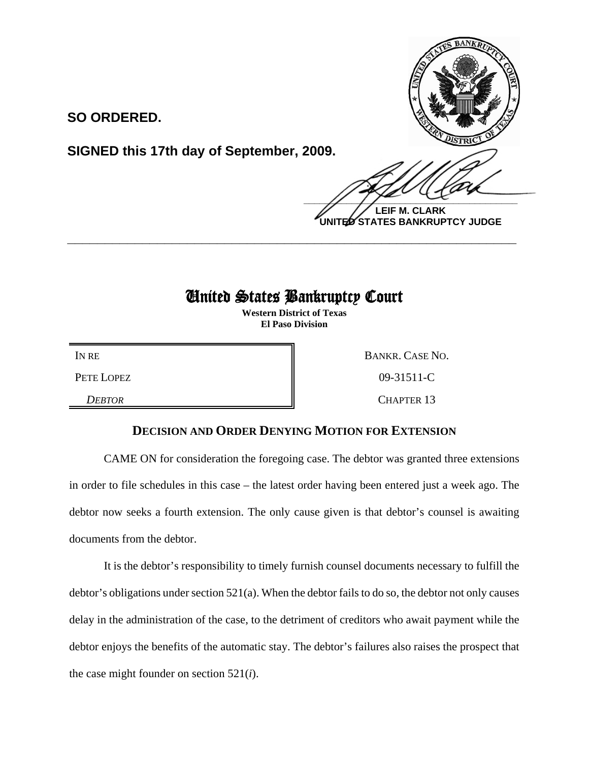

**SO ORDERED.**

**SIGNED this 17th day of September, 2009.**

 $\frac{1}{2}$ **LEIF M. CLARK UNITED STATES BANKRUPTCY JUDGE**

## United States Bankruptcy Court

**\_\_\_\_\_\_\_\_\_\_\_\_\_\_\_\_\_\_\_\_\_\_\_\_\_\_\_\_\_\_\_\_\_\_\_\_\_\_\_\_\_\_\_\_\_\_\_\_\_\_\_\_\_\_\_\_\_\_\_\_**

**Western District of Texas El Paso Division**

IN RE BANKR. CASE NO. PETE LOPEZ 809-31511-C

**DEBTOR** CHAPTER 13

## **DECISION AND ORDER DENYING MOTION FOR EXTENSION**

CAME ON for consideration the foregoing case. The debtor was granted three extensions in order to file schedules in this case – the latest order having been entered just a week ago. The debtor now seeks a fourth extension. The only cause given is that debtor's counsel is awaiting documents from the debtor.

It is the debtor's responsibility to timely furnish counsel documents necessary to fulfill the debtor's obligations under section 521(a). When the debtor fails to do so, the debtor not only causes delay in the administration of the case, to the detriment of creditors who await payment while the debtor enjoys the benefits of the automatic stay. The debtor's failures also raises the prospect that the case might founder on section 521(*i*).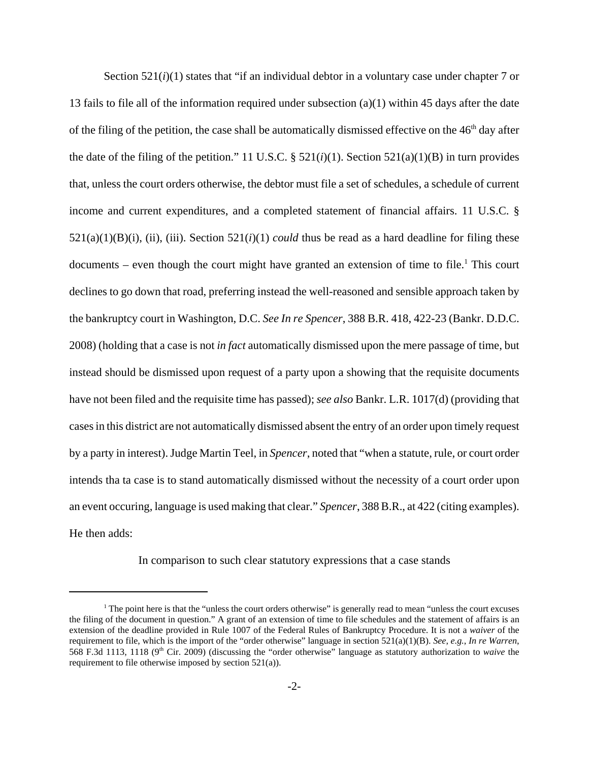Section 521(*i*)(1) states that "if an individual debtor in a voluntary case under chapter 7 or 13 fails to file all of the information required under subsection (a)(1) within 45 days after the date of the filing of the petition, the case shall be automatically dismissed effective on the  $46<sup>th</sup>$  day after the date of the filing of the petition." 11 U.S.C.  $\S$  521(*i*)(1). Section 521(a)(1)(B) in turn provides that, unless the court orders otherwise, the debtor must file a set of schedules, a schedule of current income and current expenditures, and a completed statement of financial affairs. 11 U.S.C. §  $521(a)(1)(B)(i)$ , (ii), (iii). Section  $521(i)(1)$  *could* thus be read as a hard deadline for filing these documents – even though the court might have granted an extension of time to file.<sup>1</sup> This court declines to go down that road, preferring instead the well-reasoned and sensible approach taken by the bankruptcy court in Washington, D.C. *See In re Spencer*, 388 B.R. 418, 422-23 (Bankr. D.D.C. 2008) (holding that a case is not *in fact* automatically dismissed upon the mere passage of time, but instead should be dismissed upon request of a party upon a showing that the requisite documents have not been filed and the requisite time has passed); *see also* Bankr. L.R. 1017(d) (providing that cases in this district are not automatically dismissed absent the entry of an order upon timely request by a party in interest). Judge Martin Teel, in *Spencer*, noted that "when a statute, rule, or court order intends tha ta case is to stand automatically dismissed without the necessity of a court order upon an event occuring, language is used making that clear." *Spencer*, 388 B.R., at 422 (citing examples). He then adds:

In comparison to such clear statutory expressions that a case stands

<sup>&</sup>lt;sup>1</sup> The point here is that the "unless the court orders otherwise" is generally read to mean "unless the court excuses" the filing of the document in question." A grant of an extension of time to file schedules and the statement of affairs is an extension of the deadline provided in Rule 1007 of the Federal Rules of Bankruptcy Procedure. It is not a *waiver* of the requirement to file, which is the import of the "order otherwise" language in section 521(a)(1)(B). *See*, *e.g.*, *In re Warren*, 568 F.3d 1113, 1118 (9th Cir. 2009) (discussing the "order otherwise" language as statutory authorization to *waive* the requirement to file otherwise imposed by section 521(a)).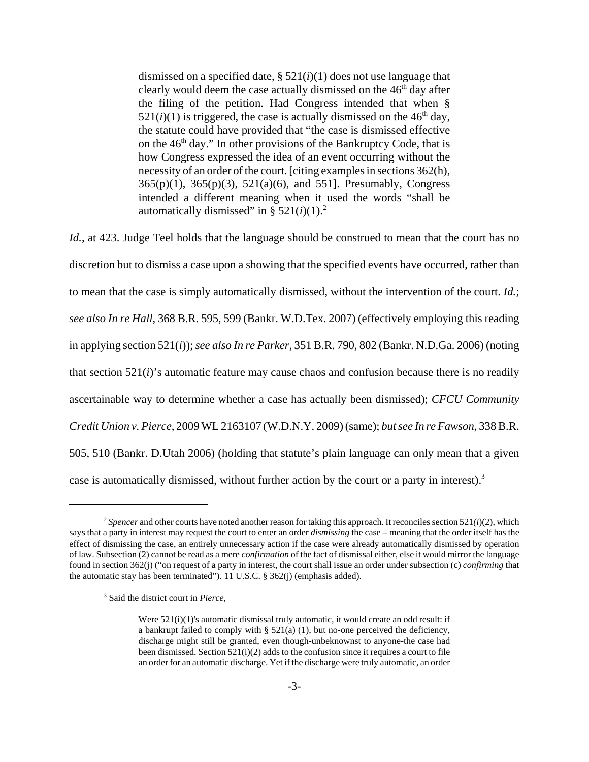dismissed on a specified date, § 521(*i*)(1) does not use language that clearly would deem the case actually dismissed on the  $46<sup>th</sup>$  day after the filing of the petition. Had Congress intended that when §  $521(i)(1)$  is triggered, the case is actually dismissed on the  $46<sup>th</sup>$  day, the statute could have provided that "the case is dismissed effective on the  $46<sup>th</sup>$  day." In other provisions of the Bankruptcy Code, that is how Congress expressed the idea of an event occurring without the necessity of an order of the court. [citing examples in sections 362(h), 365(p)(1), 365(p)(3), 521(a)(6), and 551]. Presumably, Congress intended a different meaning when it used the words "shall be automatically dismissed" in §  $521(i)(1)$ .<sup>2</sup>

*Id.*, at 423. Judge Teel holds that the language should be construed to mean that the court has no discretion but to dismiss a case upon a showing that the specified events have occurred, rather than to mean that the case is simply automatically dismissed, without the intervention of the court. *Id.*; *see also In re Hall*, 368 B.R. 595, 599 (Bankr. W.D.Tex. 2007) (effectively employing this reading in applying section 521(*i*)); *see also In re Parker*, 351 B.R. 790, 802 (Bankr. N.D.Ga. 2006) (noting that section 521(*i*)'s automatic feature may cause chaos and confusion because there is no readily ascertainable way to determine whether a case has actually been dismissed); *CFCU Community Credit Union v. Pierce*, 2009 WL 2163107 (W.D.N.Y. 2009) (same); *but see In re Fawson*, 338 B.R. 505, 510 (Bankr. D.Utah 2006) (holding that statute's plain language can only mean that a given case is automatically dismissed, without further action by the court or a party in interest).<sup>3</sup>

<sup>&</sup>lt;sup>2</sup> Spencer and other courts have noted another reason for taking this approach. It reconciles section  $521(i)(2)$ , which says that a party in interest may request the court to enter an order *dismissing* the case – meaning that the order itself has the effect of dismissing the case, an entirely unnecessary action if the case were already automatically dismissed by operation of law. Subsection (2) cannot be read as a mere *confirmation* of the fact of dismissal either, else it would mirror the language found in section 362(j) ("on request of a party in interest, the court shall issue an order under subsection (c) *confirming* that the automatic stay has been terminated"). 11 U.S.C. § 362(j) (emphasis added).

<sup>3</sup> Said the district court in *Pierce*,

Were  $521(i)(1)$ 's automatic dismissal truly automatic, it would create an odd result: if a bankrupt failed to comply with § 521(a) (1), but no-one perceived the deficiency, discharge might still be granted, even though-unbeknownst to anyone-the case had been dismissed. Section 521(i)(2) adds to the confusion since it requires a court to file an order for an automatic discharge. Yet if the discharge were truly automatic, an order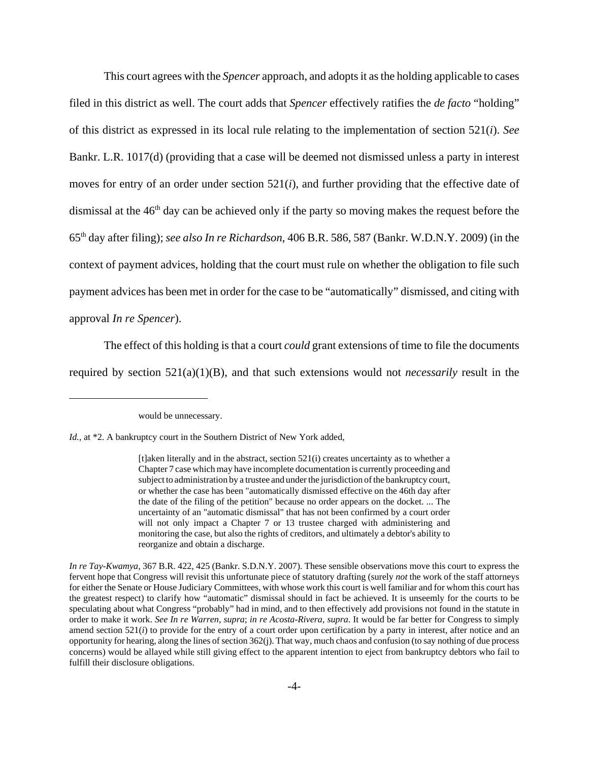This court agrees with the *Spencer* approach, and adopts it as the holding applicable to cases filed in this district as well. The court adds that *Spencer* effectively ratifies the *de facto* "holding" of this district as expressed in its local rule relating to the implementation of section 521(*i*). *See* Bankr. L.R. 1017(d) (providing that a case will be deemed not dismissed unless a party in interest moves for entry of an order under section 521(*i*), and further providing that the effective date of dismissal at the  $46<sup>th</sup>$  day can be achieved only if the party so moving makes the request before the 65th day after filing); *see also In re Richardson*, 406 B.R. 586, 587 (Bankr. W.D.N.Y. 2009) (in the context of payment advices, holding that the court must rule on whether the obligation to file such payment advices has been met in order for the case to be "automatically" dismissed, and citing with approval *In re Spencer*).

The effect of this holding is that a court *could* grant extensions of time to file the documents required by section 521(a)(1)(B), and that such extensions would not *necessarily* result in the

would be unnecessary.

*Id.*, at \*2. A bankruptcy court in the Southern District of New York added,

<sup>[</sup>t]aken literally and in the abstract, section 521(i) creates uncertainty as to whether a Chapter 7 case which may have incomplete documentation is currently proceeding and subject to administration by a trustee and under the jurisdiction of the bankruptcy court, or whether the case has been "automatically dismissed effective on the 46th day after the date of the filing of the petition" because no order appears on the docket. ... The uncertainty of an "automatic dismissal" that has not been confirmed by a court order will not only impact a Chapter 7 or 13 trustee charged with administering and monitoring the case, but also the rights of creditors, and ultimately a debtor's ability to reorganize and obtain a discharge.

*In re Tay-Kwamya*, 367 B.R. 422, 425 (Bankr. S.D.N.Y. 2007). These sensible observations move this court to express the fervent hope that Congress will revisit this unfortunate piece of statutory drafting (surely *not* the work of the staff attorneys for either the Senate or House Judiciary Committees, with whose work this court is well familiar and for whom this court has the greatest respect) to clarify how "automatic" dismissal should in fact be achieved. It is unseemly for the courts to be speculating about what Congress "probably" had in mind, and to then effectively add provisions not found in the statute in order to make it work. *See In re Warren*, *supra*; *in re Acosta-Rivera*, *supra*. It would be far better for Congress to simply amend section 521(*i*) to provide for the entry of a court order upon certification by a party in interest, after notice and an opportunity for hearing, along the lines of section 362(j). That way, much chaos and confusion (to say nothing of due process concerns) would be allayed while still giving effect to the apparent intention to eject from bankruptcy debtors who fail to fulfill their disclosure obligations.